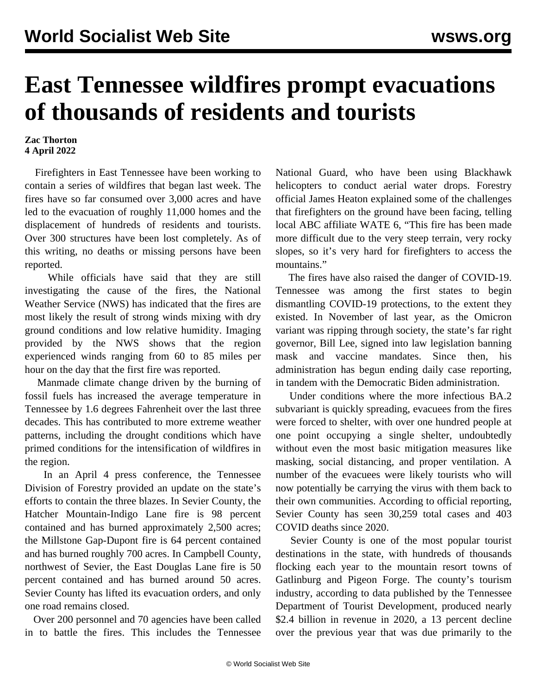## **East Tennessee wildfires prompt evacuations of thousands of residents and tourists**

## **Zac Thorton 4 April 2022**

 Firefighters in East Tennessee have been working to contain a series of wildfires that began last week. The fires have so far consumed over 3,000 acres and have led to the evacuation of roughly 11,000 homes and the displacement of hundreds of residents and tourists. Over 300 structures have been lost completely. As of this writing, no deaths or missing persons have been reported.

 While officials have said that they are still investigating the cause of the fires, the National Weather Service (NWS) has indicated that the fires are most likely the result of strong winds mixing with dry ground conditions and low relative humidity. Imaging provided by the NWS shows that the region experienced winds ranging from 60 to 85 miles per hour on the day that the first fire was reported.

 Manmade climate change driven by the burning of fossil fuels has increased the average temperature in Tennessee by 1.6 degrees Fahrenheit over the last three decades. This has contributed to more extreme weather patterns, including the drought conditions which have primed conditions for the intensification of wildfires in the region.

 In an April 4 press conference, the Tennessee Division of Forestry provided an update on the state's efforts to contain the three blazes. In Sevier County, the Hatcher Mountain-Indigo Lane fire is 98 percent contained and has burned approximately 2,500 acres; the Millstone Gap-Dupont fire is 64 percent contained and has burned roughly 700 acres. In Campbell County, northwest of Sevier, the East Douglas Lane fire is 50 percent contained and has burned around 50 acres. Sevier County has lifted its evacuation orders, and only one road remains closed.

 Over 200 personnel and 70 agencies have been called in to battle the fires. This includes the Tennessee National Guard, who have been using Blackhawk helicopters to conduct aerial water drops. Forestry official James Heaton explained some of the challenges that firefighters on the ground have been facing, telling local ABC affiliate WATE 6, "This fire has been made more difficult due to the very steep terrain, very rocky slopes, so it's very hard for firefighters to access the mountains."

 The fires have also raised the danger of COVID-19. Tennessee was among the first states to begin dismantling COVID-19 protections, to the extent they existed. In November of last year, as the Omicron variant was ripping through society, the state's far right governor, Bill Lee, signed into law [legislation](/en/articles/2021/11/30/tenn-n30.html) banning mask and vaccine mandates. Since then, his administration has begun ending daily case reporting, [in tandem with](/en/articles/2022/01/15/hhhs-j15.html) the Democratic Biden administration.

 Under conditions where the more infectious BA.2 subvariant is quickly spreading, evacuees from the fires were forced to shelter, with over one hundred people at one point occupying a single shelter, undoubtedly without even the most basic mitigation measures like masking, social distancing, and proper ventilation. A number of the evacuees were likely tourists who will now potentially be carrying the virus with them back to their own communities. According to official reporting, Sevier County has seen 30,259 total cases and 403 COVID deaths since 2020.

 Sevier County is one of the most popular tourist destinations in the state, with hundreds of thousands flocking each year to the mountain resort towns of Gatlinburg and Pigeon Forge. The county's tourism industry, according to data published by the Tennessee Department of Tourist Development, produced nearly \$2.4 billion in revenue in 2020, a 13 percent decline over the previous year that was due primarily to the